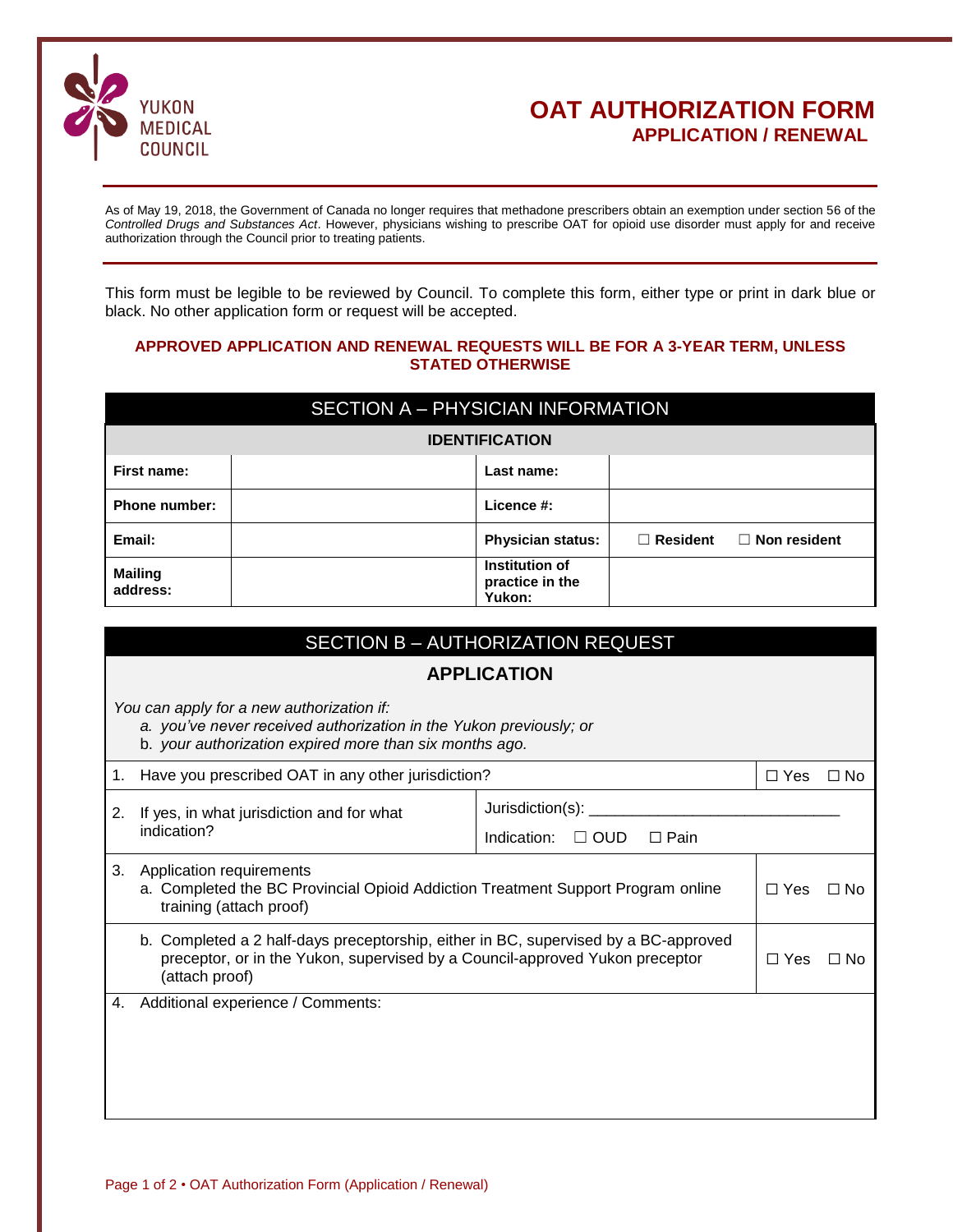

## **OAT AUTHORIZATION FORM APPLICATION / RENEWAL**

As of May 19, 2018, the Government of Canada no longer requires that methadone prescribers obtain an exemption under section 56 of the *Controlled Drugs and Substances Act*. However, physicians wishing to prescribe OAT for opioid use disorder must apply for and receive authorization through the Council prior to treating patients.

This form must be legible to be reviewed by Council. To complete this form, either type or print in dark blue or black. No other application form or request will be accepted.

#### **APPROVED APPLICATION AND RENEWAL REQUESTS WILL BE FOR A 3-YEAR TERM, UNLESS STATED OTHERWISE**

| SECTION A - PHYSICIAN INFORMATION |  |                                             |                 |                     |  |  |
|-----------------------------------|--|---------------------------------------------|-----------------|---------------------|--|--|
| <b>IDENTIFICATION</b>             |  |                                             |                 |                     |  |  |
| First name:                       |  | Last name:                                  |                 |                     |  |  |
| <b>Phone number:</b>              |  | Licence #:                                  |                 |                     |  |  |
| Email:                            |  | <b>Physician status:</b>                    | $\Box$ Resident | $\Box$ Non resident |  |  |
| <b>Mailing</b><br>address:        |  | Institution of<br>practice in the<br>Yukon: |                 |                     |  |  |

|                                                                                                                                                                                       | SECTION B - AUTHORIZATION REQUEST                        |                                          |               |           |  |  |  |
|---------------------------------------------------------------------------------------------------------------------------------------------------------------------------------------|----------------------------------------------------------|------------------------------------------|---------------|-----------|--|--|--|
|                                                                                                                                                                                       | <b>APPLICATION</b>                                       |                                          |               |           |  |  |  |
| You can apply for a new authorization if:<br>a. you've never received authorization in the Yukon previously; or<br>b. your authorization expired more than six months ago.            |                                                          |                                          |               |           |  |  |  |
|                                                                                                                                                                                       | Have you prescribed OAT in any other jurisdiction?<br>1. |                                          | $\Box$ Yes    | $\Box$ No |  |  |  |
| 2.                                                                                                                                                                                    | If yes, in what jurisdiction and for what<br>indication? | Jurisdiction(s): ________                |               |           |  |  |  |
|                                                                                                                                                                                       |                                                          | Indication:<br>$\Box$ OUD<br>$\Box$ Pain |               |           |  |  |  |
| Application requirements<br>3.<br>a. Completed the BC Provincial Opioid Addiction Treatment Support Program online<br>training (attach proof)                                         |                                                          |                                          | $\Box$ Yes    | $\Box$ No |  |  |  |
| b. Completed a 2 half-days preceptorship, either in BC, supervised by a BC-approved<br>preceptor, or in the Yukon, supervised by a Council-approved Yukon preceptor<br>(attach proof) |                                                          |                                          | $\square$ Yes | $\Box$ No |  |  |  |
| 4.                                                                                                                                                                                    | Additional experience / Comments:                        |                                          |               |           |  |  |  |